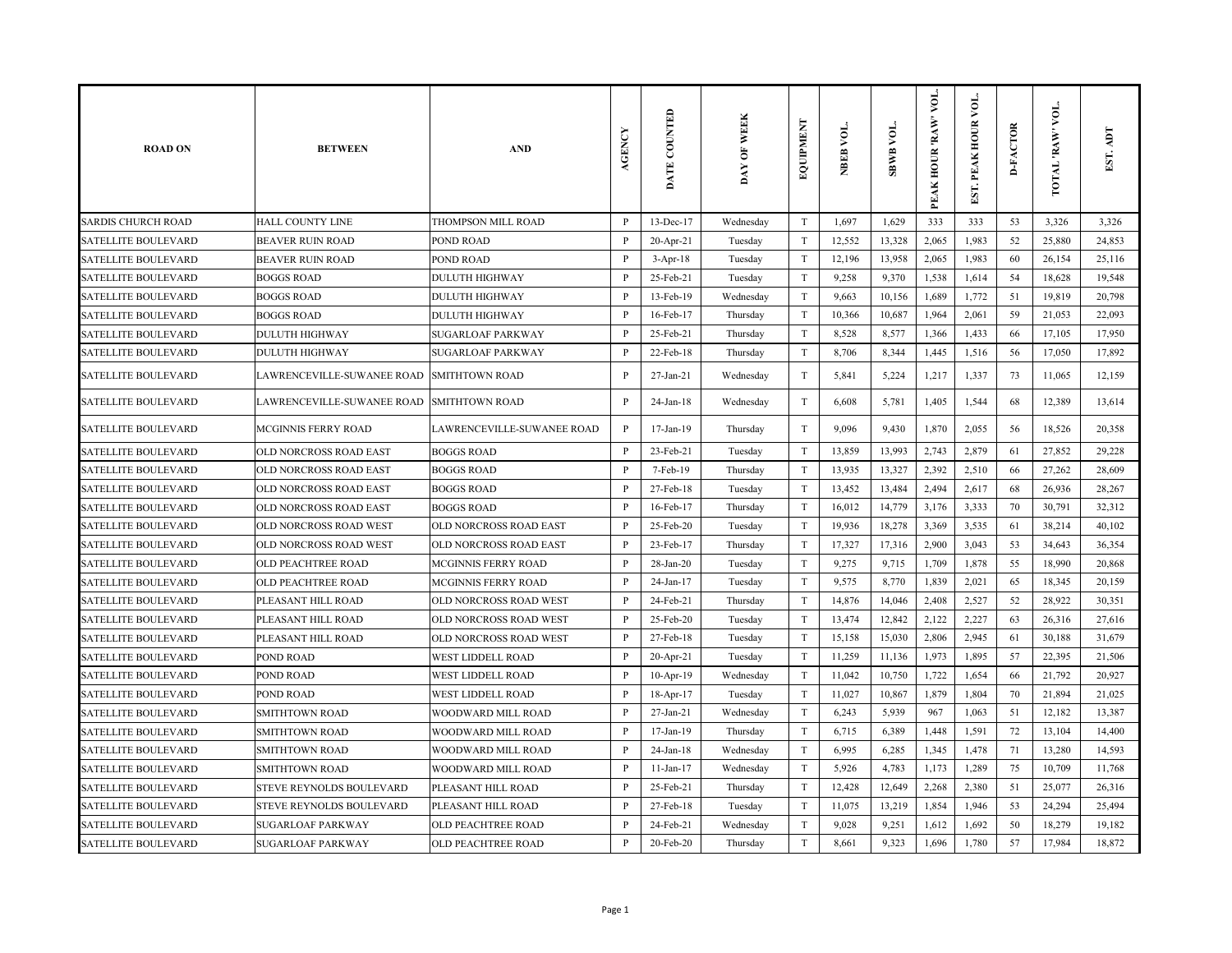| <b>ROAD ON</b>             | <b>BETWEEN</b>                            | <b>AND</b>                 | AGENCY       | DATE COUNTED    | DAY OF WEEK | EQUIPMENT                 | NBEB VOL. | <b>SBWB VOL.</b> | VOL.<br>PEAK HOUR 'RAW' | νoι.<br>EST. PEAK HOUR | <b>D-FACTOR</b> | VOL.<br>TOTAL RAW | ДQ<br>EST. |
|----------------------------|-------------------------------------------|----------------------------|--------------|-----------------|-------------|---------------------------|-----------|------------------|-------------------------|------------------------|-----------------|-------------------|------------|
| <b>SARDIS CHURCH ROAD</b>  | <b>HALL COUNTY LINE</b>                   | THOMPSON MILL ROAD         | $\mathbf{P}$ | 13-Dec-17       | Wednesday   | T                         | 1,697     | 1,629            | 333                     | 333                    | 53              | 3,326             | 3,326      |
| <b>SATELLITE BOULEVARD</b> | <b>BEAVER RUIN ROAD</b>                   | POND ROAD                  | P            | $20$ -Apr-21    | Tuesday     | $\rm T$                   | 12,552    | 13,328           | 2,065                   | 1,983                  | 52              | 25,880            | 24,853     |
| <b>SATELLITE BOULEVARD</b> | <b>BEAVER RUIN ROAD</b>                   | POND ROAD                  | P            | 3-Apr-18        | Tuesday     | T                         | 12,196    | 13,958           | 2,065                   | 1,983                  | 60              | 26,154            | 25,116     |
| <b>SATELLITE BOULEVARD</b> | <b>BOGGS ROAD</b>                         | <b>DULUTH HIGHWAY</b>      | P            | 25-Feb-21       | Tuesday     | $\rm T$                   | 9,258     | 9,370            | 1,538                   | 1,614                  | 54              | 18,628            | 19,548     |
| <b>SATELLITE BOULEVARD</b> | <b>BOGGS ROAD</b>                         | <b>DULUTH HIGHWAY</b>      | P            | 13-Feb-19       | Wednesday   | T                         | 9,663     | 10,156           | 1,689                   | 1,772                  | 51              | 19,819            | 20,798     |
| <b>SATELLITE BOULEVARD</b> | <b>BOGGS ROAD</b>                         | <b>DULUTH HIGHWAY</b>      | P            | 16-Feb-17       | Thursday    | T                         | 10,366    | 10,687           | 1,964                   | 2,061                  | 59              | 21,053            | 22,093     |
| <b>SATELLITE BOULEVARD</b> | <b>DULUTH HIGHWAY</b>                     | <b>SUGARLOAF PARKWAY</b>   | P            | 25-Feb-21       | Thursday    | $\rm T$                   | 8,528     | 8,577            | 1,366                   | 1,433                  | 66              | 17,105            | 17,950     |
| SATELLITE BOULEVARD        | <b>DULUTH HIGHWAY</b>                     | <b>SUGARLOAF PARKWAY</b>   | P            | 22-Feb-18       | Thursday    | $\rm T$                   | 8,706     | 8,344            | 1,445                   | 1,516                  | 56              | 17,050            | 17,892     |
| <b>SATELLITE BOULEVARD</b> | LAWRENCEVILLE-SUWANEE ROAD                | <b>SMITHTOWN ROAD</b>      | $\mathbf{P}$ | 27-Jan-21       | Wednesday   | $\ensuremath{\mathrm{T}}$ | 5,841     | 5,224            | 1,217                   | 1,337                  | 73              | 11,065            | 12,159     |
| <b>SATELLITE BOULEVARD</b> | LAWRENCEVILLE-SUWANEE ROAD SMITHTOWN ROAD |                            | P            | $24$ -Jan-18    | Wednesday   | $\mathbf T$               | 6,608     | 5,781            | 1,405                   | 1,544                  | 68              | 12,389            | 13,614     |
| <b>SATELLITE BOULEVARD</b> | MCGINNIS FERRY ROAD                       | LAWRENCEVILLE-SUWANEE ROAD | $\mathbf{P}$ | 17-Jan-19       | Thursday    | $\rm T$                   | 9,096     | 9,430            | 1,870                   | 2,055                  | 56              | 18,526            | 20,358     |
| <b>SATELLITE BOULEVARD</b> | OLD NORCROSS ROAD EAST                    | <b>BOGGS ROAD</b>          | P            | 23-Feb-21       | Tuesday     | T                         | 13,859    | 13,993           | 2,743                   | 2,879                  | 61              | 27,852            | 29,228     |
| <b>SATELLITE BOULEVARD</b> | OLD NORCROSS ROAD EAST                    | <b>BOGGS ROAD</b>          | P            | 7-Feb-19        | Thursday    | T                         | 13,935    | 13,327           | 2,392                   | 2,510                  | 66              | 27,262            | 28,609     |
| <b>SATELLITE BOULEVARD</b> | OLD NORCROSS ROAD EAST                    | <b>BOGGS ROAD</b>          | $\mathbf{P}$ | 27-Feb-18       | Tuesday     | $\rm T$                   | 13,452    | 13,484           | 2,494                   | 2,617                  | 68              | 26,936            | 28,267     |
| <b>SATELLITE BOULEVARD</b> | OLD NORCROSS ROAD EAST                    | <b>BOGGS ROAD</b>          | $\mathbf{P}$ | 16-Feb-17       | Thursday    | $\ensuremath{\mathrm{T}}$ | 16,012    | 14,779           | 3,176                   | 3,333                  | 70              | 30,791            | 32,312     |
| <b>SATELLITE BOULEVARD</b> | OLD NORCROSS ROAD WEST                    | OLD NORCROSS ROAD EAST     | P            | 25-Feb-20       | Tuesday     | $\rm T$                   | 19,936    | 18,278           | 3,369                   | 3,535                  | 61              | 38,214            | 40,102     |
| <b>SATELLITE BOULEVARD</b> | OLD NORCROSS ROAD WEST                    | OLD NORCROSS ROAD EAST     | $\mathbf{P}$ | 23-Feb-17       | Thursday    | T                         | 17,327    | 17,316           | 2,900                   | 3,043                  | 53              | 34,643            | 36,354     |
| <b>SATELLITE BOULEVARD</b> | OLD PEACHTREE ROAD                        | <b>MCGINNIS FERRY ROAD</b> | P            | $28$ -Jan- $20$ | Tuesday     | $\rm T$                   | 9,275     | 9,715            | 1,709                   | 1,878                  | 55              | 18,990            | 20,868     |
| <b>SATELLITE BOULEVARD</b> | OLD PEACHTREE ROAD                        | MCGINNIS FERRY ROAD        | P            | 24-Jan-17       | Tuesday     | $\mathbf T$               | 9,575     | 8,770            | 1,839                   | 2,021                  | 65              | 18,345            | 20,159     |
| <b>SATELLITE BOULEVARD</b> | PLEASANT HILL ROAD                        | OLD NORCROSS ROAD WEST     | $\mathbf{P}$ | 24-Feb-21       | Thursday    | $\mathbf T$               | 14,876    | 14,046           | 2,408                   | 2,527                  | 52              | 28,922            | 30,351     |
| <b>SATELLITE BOULEVARD</b> | PLEASANT HILL ROAD                        | OLD NORCROSS ROAD WEST     | $\mathbf{P}$ | 25-Feb-20       | Tuesday     | $\rm T$                   | 13,474    | 12,842           | 2,122                   | 2,227                  | 63              | 26,316            | 27,616     |
| <b>SATELLITE BOULEVARD</b> | PLEASANT HILL ROAD                        | OLD NORCROSS ROAD WEST     | $\mathbf{P}$ | 27-Feb-18       | Tuesday     | $\rm T$                   | 15,158    | 15,030           | 2,806                   | 2,945                  | 61              | 30,188            | 31,679     |
| <b>SATELLITE BOULEVARD</b> | POND ROAD                                 | <b>WEST LIDDELL ROAD</b>   | P            | $20$ -Apr-21    | Tuesday     | T                         | 11,259    | 11,136           | 1,973                   | 1,895                  | 57              | 22,395            | 21,506     |
| SATELLITE BOULEVARD        | POND ROAD                                 | WEST LIDDELL ROAD          | P            | $10-Apr-19$     | Wednesday   | T                         | 11,042    | 10,750           | 1,722                   | 1,654                  | 66              | 21,792            | 20,927     |
| <b>SATELLITE BOULEVARD</b> | POND ROAD                                 | <b>WEST LIDDELL ROAD</b>   | $\mathbf{P}$ | 18-Apr-17       | Tuesday     | $\rm T$                   | 11,027    | 10,867           | 1,879                   | 1,804                  | 70              | 21,894            | 21,025     |
| <b>SATELLITE BOULEVARD</b> | <b>SMITHTOWN ROAD</b>                     | WOODWARD MILL ROAD         | $\mathbf{P}$ | $27$ -Jan- $21$ | Wednesday   | $\rm T$                   | 6,243     | 5,939            | 967                     | 1,063                  | 51              | 12,182            | 13,387     |
| <b>SATELLITE BOULEVARD</b> | SMITHTOWN ROAD                            | WOODWARD MILL ROAD         | P            | $17 - Jan - 19$ | Thursday    | $\rm T$                   | 6,715     | 6,389            | 1,448                   | 1,591                  | 72              | 13,104            | 14,400     |
| <b>SATELLITE BOULEVARD</b> | SMITHTOWN ROAD                            | WOODWARD MILL ROAD         | $\mathbf{P}$ | $24$ -Jan-18    | Wednesday   | $\rm T$                   | 6,995     | 6,285            | 1,345                   | 1,478                  | 71              | 13,280            | 14,593     |
| <b>SATELLITE BOULEVARD</b> | <b>SMITHTOWN ROAD</b>                     | WOODWARD MILL ROAD         | P            | $11$ -Jan- $17$ | Wednesday   | $\mathbf T$               | 5,926     | 4,783            | 1,173                   | 1,289                  | 75              | 10,709            | 11,768     |
| SATELLITE BOULEVARD        | STEVE REYNOLDS BOULEVARD                  | PLEASANT HILL ROAD         | P            | 25-Feb-21       | Thursday    | $\mathbf T$               | 12,428    | 12,649           | 2,268                   | 2,380                  | 51              | 25,077            | 26,316     |
| <b>SATELLITE BOULEVARD</b> | STEVE REYNOLDS BOULEVARD                  | PLEASANT HILL ROAD         | P            | 27-Feb-18       | Tuesday     | $\mathbf T$               | 11,075    | 13,219           | 1,854                   | 1,946                  | 53              | 24,294            | 25,494     |
| <b>SATELLITE BOULEVARD</b> | SUGARLOAF PARKWAY                         | OLD PEACHTREE ROAD         | P            | 24-Feb-21       | Wednesday   | $\rm T$                   | 9,028     | 9,251            | 1,612                   | 1,692                  | 50              | 18,279            | 19,182     |
| <b>SATELLITE BOULEVARD</b> | SUGARLOAF PARKWAY                         | <b>OLD PEACHTREE ROAD</b>  | $\mathbf{P}$ | 20-Feb-20       | Thursday    | $\rm T$                   | 8,661     | 9,323            | 1,696                   | 1,780                  | 57              | 17,984            | 18,872     |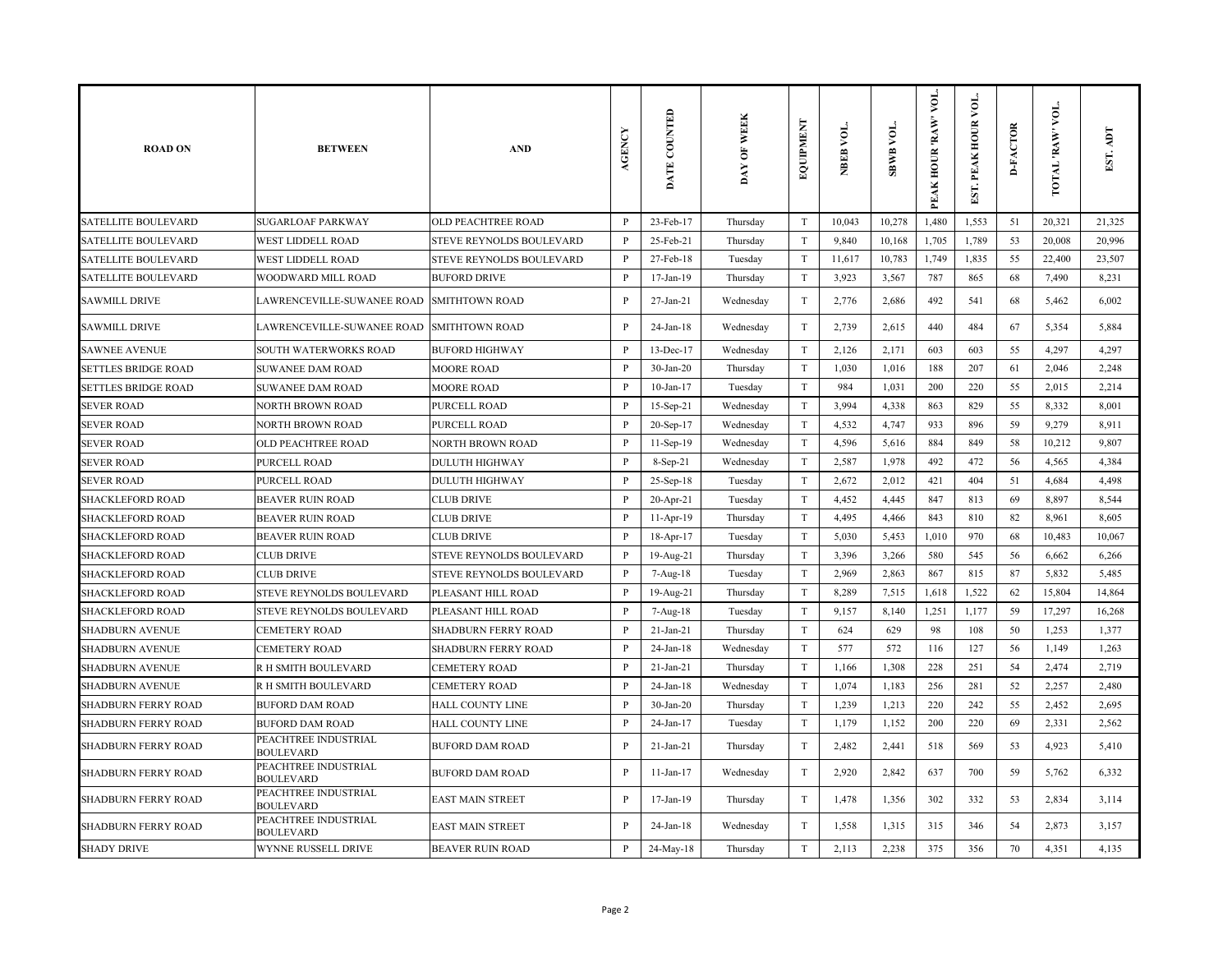| <b>ROAD ON</b>             | <b>BETWEEN</b>                           | <b>AND</b>                      | AGENCY       | DATE COUNTED    | DAY OF WEEK | EQUIPMENT                 | NBEB VOL. | <b>TOA RMBS</b> | yоL.<br>PEAK HOUR 'RAW' | $\overline{\mathsf{M}}$<br>PEAK HOUR<br>EST. | <b>D-FACTOR</b> | VOL.<br><b>TOTAL 'RAW'</b> | ICV<br>EST. |
|----------------------------|------------------------------------------|---------------------------------|--------------|-----------------|-------------|---------------------------|-----------|-----------------|-------------------------|----------------------------------------------|-----------------|----------------------------|-------------|
| <b>SATELLITE BOULEVARD</b> | <b>SUGARLOAF PARKWAY</b>                 | <b>OLD PEACHTREE ROAD</b>       | P            | 23-Feb-17       | Thursday    | T                         | 10,043    | 10,278          | 1,480                   | 1,553                                        | 51              | 20,321                     | 21,325      |
| <b>SATELLITE BOULEVARD</b> | WEST LIDDELL ROAD                        | STEVE REYNOLDS BOULEVARD        | $\mathbf{P}$ | 25-Feb-21       | Thursday    | $\mathbf T$               | 9,840     | 10,168          | 1,705                   | 1,789                                        | 53              | 20,008                     | 20,996      |
| <b>SATELLITE BOULEVARD</b> | <b>WEST LIDDELL ROAD</b>                 | STEVE REYNOLDS BOULEVARD        | $\mathbf{P}$ | 27-Feb-18       | Tuesday     | $\mathbf T$               | 11,617    | 10,783          | 1,749                   | 1,835                                        | 55              | 22,400                     | 23,507      |
| <b>SATELLITE BOULEVARD</b> | WOODWARD MILL ROAD                       | <b>BUFORD DRIVE</b>             | P            | 17-Jan-19       | Thursday    | $\mathbf T$               | 3,923     | 3,567           | 787                     | 865                                          | 68              | 7,490                      | 8,231       |
| <b>SAWMILL DRIVE</b>       | LAWRENCEVILLE-SUWANEE ROAD               | <b>SMITHTOWN ROAD</b>           | P            | $27-Ian-21$     | Wednesday   | $\mathbf T$               | 2,776     | 2,686           | 492                     | 541                                          | 68              | 5,462                      | 6,002       |
| <b>SAWMILL DRIVE</b>       | LAWRENCEVILLE-SUWANEE ROAD               | <b>SMITHTOWN ROAD</b>           | $\mathbf{P}$ | 24-Jan-18       | Wednesday   | $\mathbf T$               | 2,739     | 2,615           | 440                     | 484                                          | 67              | 5,354                      | 5,884       |
| <b>SAWNEE AVENUE</b>       | SOUTH WATERWORKS ROAD                    | <b>BUFORD HIGHWAY</b>           | $\mathbf{P}$ | 13-Dec-17       | Wednesday   | $\mathbf T$               | 2,126     | 2,171           | 603                     | 603                                          | 55              | 4,297                      | 4,297       |
| <b>SETTLES BRIDGE ROAD</b> | <b>SUWANEE DAM ROAD</b>                  | <b>MOORE ROAD</b>               | $\mathbf{P}$ | $30-Ian-20$     | Thursday    | $\mathbf T$               | 1,030     | 1,016           | 188                     | 207                                          | 61              | 2,046                      | 2,248       |
| <b>SETTLES BRIDGE ROAD</b> | <b>SUWANEE DAM ROAD</b>                  | <b>MOORE ROAD</b>               | $\mathbf{P}$ | $10$ -Jan- $17$ | Tuesday     | $\mathbf T$               | 984       | 1,031           | 200                     | 220                                          | 55              | 2,015                      | 2,214       |
| <b>SEVER ROAD</b>          | NORTH BROWN ROAD                         | PURCELL ROAD                    | P            | 15-Sep-21       | Wednesday   | T                         | 3,994     | 4,338           | 863                     | 829                                          | 55              | 8,332                      | 8,001       |
| <b>SEVER ROAD</b>          | NORTH BROWN ROAD                         | PURCELL ROAD                    | $\mathbf{P}$ | 20-Sep-17       | Wednesday   | $\mathbf T$               | 4,532     | 4,747           | 933                     | 896                                          | 59              | 9,279                      | 8,911       |
| <b>SEVER ROAD</b>          | OLD PEACHTREE ROAD                       | <b>NORTH BROWN ROAD</b>         | P            | $11-Sep-19$     | Wednesday   | $\mathbf T$               | 4,596     | 5,616           | 884                     | 849                                          | 58              | 10,212                     | 9,807       |
| <b>SEVER ROAD</b>          | <b>PURCELL ROAD</b>                      | <b>DULUTH HIGHWAY</b>           | $\mathbf{P}$ | 8-Sep-21        | Wednesday   | T                         | 2,587     | 1,978           | 492                     | 472                                          | 56              | 4,565                      | 4,384       |
| <b>SEVER ROAD</b>          | PURCELL ROAD                             | <b>DULUTH HIGHWAY</b>           | $\mathbf{P}$ | 25-Sep-18       | Tuesday     | $\ensuremath{\mathrm{T}}$ | 2,672     | 2,012           | 421                     | 404                                          | 51              | 4,684                      | 4,498       |
| <b>SHACKLEFORD ROAD</b>    | <b>BEAVER RUIN ROAD</b>                  | <b>CLUB DRIVE</b>               | P            | $20$ -Apr-21    | Tuesday     | $\mathbf T$               | 4,452     | 4,445           | 847                     | 813                                          | 69              | 8,897                      | 8,544       |
| <b>SHACKLEFORD ROAD</b>    | <b>BEAVER RUIN ROAD</b>                  | <b>CLUB DRIVE</b>               | P            | 11-Apr-19       | Thursday    | $\mathbf T$               | 4,495     | 4,466           | 843                     | 810                                          | 82              | 8,961                      | 8,605       |
| <b>SHACKLEFORD ROAD</b>    | <b>BEAVER RUIN ROAD</b>                  | <b>CLUB DRIVE</b>               | P            | 18-Apr-17       | Tuesday     | T                         | 5,030     | 5,453           | 1,010                   | 970                                          | 68              | 10,483                     | 10,067      |
| <b>SHACKLEFORD ROAD</b>    | <b>CLUB DRIVE</b>                        | STEVE REYNOLDS BOULEVARD        | $\, {\bf P}$ | 19-Aug-21       | Thursday    | $\mathbf T$               | 3,396     | 3,266           | 580                     | 545                                          | 56              | 6,662                      | 6,266       |
| <b>SHACKLEFORD ROAD</b>    | <b>CLUB DRIVE</b>                        | <b>STEVE REYNOLDS BOULEVARD</b> | P            | 7-Aug-18        | Tuesday     | $\mathbf T$               | 2,969     | 2,863           | 867                     | 815                                          | 87              | 5,832                      | 5,485       |
| <b>SHACKLEFORD ROAD</b>    | STEVE REYNOLDS BOULEVARD                 | PLEASANT HILL ROAD              | $\mathbf{P}$ | 19-Aug-21       | Thursday    | $\mathbf T$               | 8,289     | 7,515           | 1,618                   | 1,522                                        | 62              | 15,804                     | 14,864      |
| <b>SHACKLEFORD ROAD</b>    | STEVE REYNOLDS BOULEVARD                 | PLEASANT HILL ROAD              | $\mathbf{P}$ | 7-Aug-18        | Tuesday     | $\ensuremath{\mathrm{T}}$ | 9,157     | 8,140           | 1,251                   | 1,177                                        | 59              | 17,297                     | 16,268      |
| <b>SHADBURN AVENUE</b>     | <b>CEMETERY ROAD</b>                     | <b>SHADBURN FERRY ROAD</b>      | P            | $21$ -Jan- $21$ | Thursday    | $\mathbf T$               | 624       | 629             | 98                      | 108                                          | 50              | 1,253                      | 1,377       |
| <b>SHADBURN AVENUE</b>     | <b>CEMETERY ROAD</b>                     | <b>SHADBURN FERRY ROAD</b>      | $\mathbf{P}$ | 24-Jan-18       | Wednesday   | $\mathbf T$               | 577       | 572             | 116                     | 127                                          | 56              | 1,149                      | 1,263       |
| <b>SHADBURN AVENUE</b>     | R H SMITH BOULEVARD                      | <b>CEMETERY ROAD</b>            | P            | $21-Ian-21$     | Thursday    | $\mathbf T$               | 1,166     | 1,308           | 228                     | 251                                          | 54              | 2,474                      | 2,719       |
| <b>SHADBURN AVENUE</b>     | R H SMITH BOULEVARD                      | <b>CEMETERY ROAD</b>            | P            | 24-Jan-18       | Wednesday   | $\mathbf T$               | 1,074     | 1,183           | 256                     | 281                                          | 52              | 2,257                      | 2,480       |
| <b>SHADBURN FERRY ROAD</b> | <b>BUFORD DAM ROAD</b>                   | <b>HALL COUNTY LINE</b>         | P            | $30-Ian-20$     | Thursday    | $\mathbf T$               | 1,239     | 1,213           | 220                     | 242                                          | 55              | 2,452                      | 2,695       |
| <b>SHADBURN FERRY ROAD</b> | <b>BUFORD DAM ROAD</b>                   | <b>HALL COUNTY LINE</b>         | P            | 24-Jan-17       | Tuesday     | $\mathbf T$               | 1,179     | 1,152           | 200                     | 220                                          | 69              | 2,331                      | 2,562       |
| <b>SHADBURN FERRY ROAD</b> | PEACHTREE INDUSTRIAL<br><b>BOULEVARD</b> | <b>BUFORD DAM ROAD</b>          | P            | $21-Ian-21$     | Thursday    | $\mathbf T$               | 2,482     | 2,441           | 518                     | 569                                          | 53              | 4,923                      | 5,410       |
| <b>SHADBURN FERRY ROAD</b> | PEACHTREE INDUSTRIAL<br><b>BOULEVARD</b> | <b>BUFORD DAM ROAD</b>          | $\mathbf{P}$ | 11-Jan-17       | Wednesday   | $\mathbf T$               | 2,920     | 2,842           | 637                     | 700                                          | 59              | 5,762                      | 6,332       |
| <b>SHADBURN FERRY ROAD</b> | PEACHTREE INDUSTRIAL<br><b>BOULEVARD</b> | <b>EAST MAIN STREET</b>         | P            | 17-Jan-19       | Thursday    | $\mathbf T$               | 1,478     | 1,356           | 302                     | 332                                          | 53              | 2,834                      | 3,114       |
| <b>SHADBURN FERRY ROAD</b> | PEACHTREE INDUSTRIAL<br><b>BOULEVARD</b> | <b>EAST MAIN STREET</b>         | P            | 24-Jan-18       | Wednesday   | $\mathbf T$               | 1,558     | 1,315           | 315                     | 346                                          | 54              | 2,873                      | 3,157       |
| <b>SHADY DRIVE</b>         | WYNNE RUSSELL DRIVE                      | <b>BEAVER RUIN ROAD</b>         | $\mathbf{P}$ | 24-May-18       | Thursday    | $\mathbf T$               | 2,113     | 2,238           | 375                     | 356                                          | 70              | 4,351                      | 4,135       |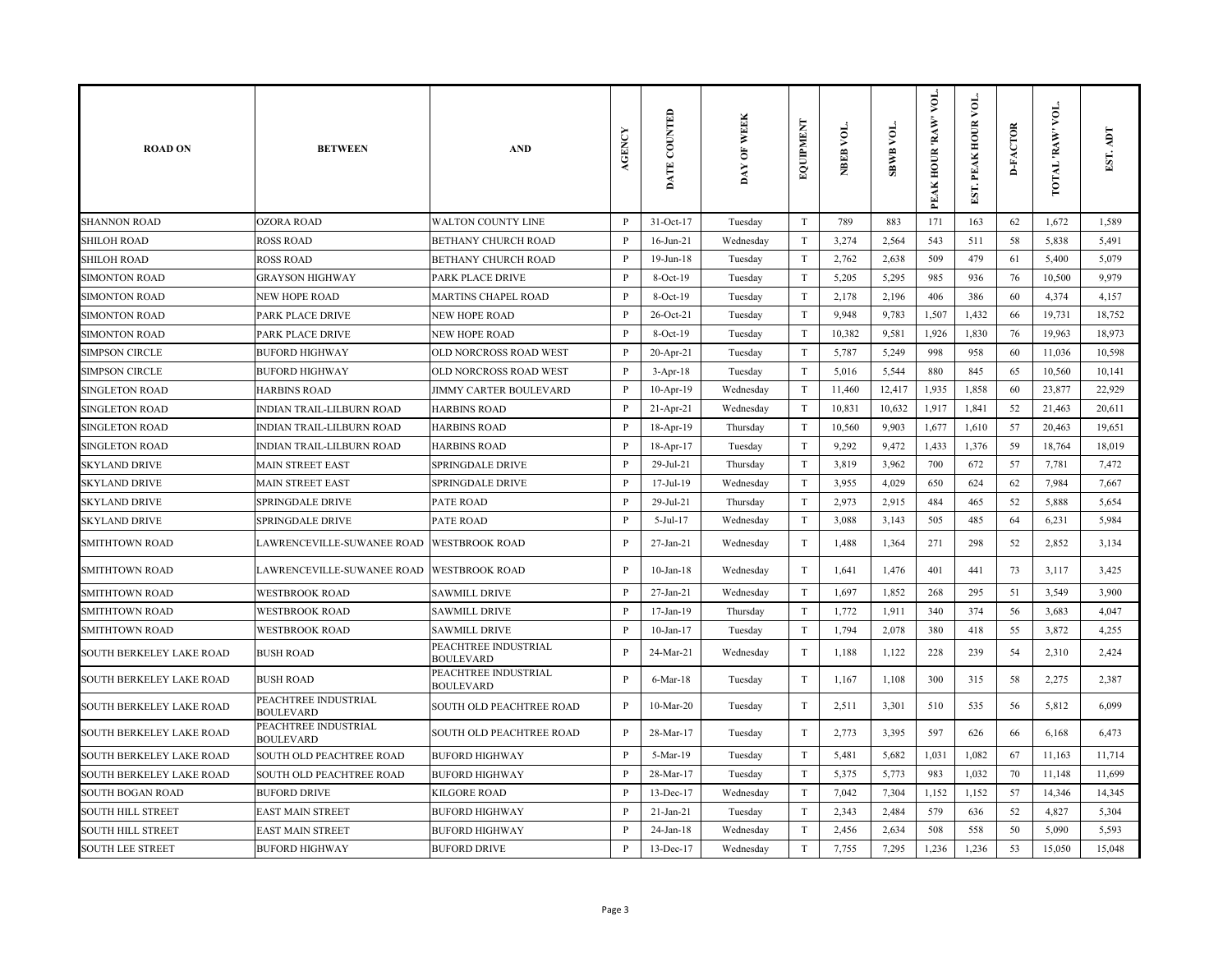| <b>ROAD ON</b>                  | <b>BETWEEN</b>                           | <b>AND</b>                               | AGENCY       | DATE COUNTED    | DAY OF WEEK | EQUIPMENT                 | NBEB VOL. | <b>TOA BABS</b> | VOL.<br>PEAK HOUR 'RAW' | $\overline{\mathsf{M}}$<br>PEAK HOUR<br>EST. | <b>D-FACTOR</b> | VOL.<br><b>TOTAL 'RAW'</b> | Idy<br>EST. |
|---------------------------------|------------------------------------------|------------------------------------------|--------------|-----------------|-------------|---------------------------|-----------|-----------------|-------------------------|----------------------------------------------|-----------------|----------------------------|-------------|
| <b>SHANNON ROAD</b>             | <b>OZORA ROAD</b>                        | <b>WALTON COUNTY LINE</b>                | P            | 31-Oct-17       | Tuesday     | $\ensuremath{\mathrm{T}}$ | 789       | 883             | 171                     | 163                                          | 62              | 1,672                      | 1.589       |
| <b>SHILOH ROAD</b>              | <b>ROSS ROAD</b>                         | <b>BETHANY CHURCH ROAD</b>               | $\mathbf{P}$ | $16$ -Jun-21    | Wednesday   | $\mathbf T$               | 3,274     | 2,564           | 543                     | 511                                          | 58              | 5,838                      | 5,491       |
| <b>SHILOH ROAD</b>              | <b>ROSS ROAD</b>                         | <b>BETHANY CHURCH ROAD</b>               | $\mathbf{P}$ | 19-Jun-18       | Tuesday     | $\mathbf T$               | 2,762     | 2,638           | 509                     | 479                                          | 61              | 5,400                      | 5,079       |
| <b>SIMONTON ROAD</b>            | <b>GRAYSON HIGHWAY</b>                   | PARK PLACE DRIVE                         | P            | 8-Oct-19        | Tuesday     | $\ensuremath{\mathrm{T}}$ | 5,205     | 5,295           | 985                     | 936                                          | 76              | 10,500                     | 9,979       |
| <b>SIMONTON ROAD</b>            | <b>NEW HOPE ROAD</b>                     | <b>MARTINS CHAPEL ROAD</b>               | $\mathbf{P}$ | 8-Oct-19        | Tuesday     | $\mathbf T$               | 2,178     | 2,196           | 406                     | 386                                          | 60              | 4,374                      | 4,157       |
| <b>SIMONTON ROAD</b>            | PARK PLACE DRIVE                         | <b>NEW HOPE ROAD</b>                     | P            | 26-Oct-21       | Tuesday     | $\mathbf T$               | 9,948     | 9,783           | 1,507                   | 1,432                                        | 66              | 19,731                     | 18,752      |
| <b>SIMONTON ROAD</b>            | PARK PLACE DRIVE                         | <b>NEW HOPE ROAD</b>                     | $\mathbf{P}$ | 8-Oct-19        | Tuesday     | T                         | 10,382    | 9,581           | 1,926                   | 1,830                                        | 76              | 19,963                     | 18,973      |
| <b>SIMPSON CIRCLE</b>           | <b>BUFORD HIGHWAY</b>                    | OLD NORCROSS ROAD WEST                   | $\mathbf{P}$ | 20-Apr-21       | Tuesday     | $\mathbf T$               | 5,787     | 5,249           | 998                     | 958                                          | 60              | 11,036                     | 10,598      |
| <b>SIMPSON CIRCLE</b>           | <b>BUFORD HIGHWAY</b>                    | OLD NORCROSS ROAD WEST                   | P            | $3-Apr-18$      | Tuesday     | $\mathbf T$               | 5,016     | 5,544           | 880                     | 845                                          | 65              | 10,560                     | 10,141      |
| <b>SINGLETON ROAD</b>           | <b>HARBINS ROAD</b>                      | <b>JIMMY CARTER BOULEVARD</b>            | $\mathbf{P}$ | 10-Apr-19       | Wednesday   | T                         | 11,460    | 12,417          | 1,935                   | 1,858                                        | 60              | 23,877                     | 22,929      |
| <b>SINGLETON ROAD</b>           | INDIAN TRAIL-LILBURN ROAD                | <b>HARBINS ROAD</b>                      | $\mathbf{P}$ | 21-Apr-21       | Wednesday   | $\mathbf T$               | 10,831    | 10,632          | 1,917                   | 1,841                                        | 52              | 21,463                     | 20,611      |
| <b>SINGLETON ROAD</b>           | <b>INDIAN TRAIL-LILBURN ROAD</b>         | <b>HARBINS ROAD</b>                      | P            | 18-Apr-19       | Thursday    | T                         | 10,560    | 9,903           | 1,677                   | 1,610                                        | 57              | 20,463                     | 19,651      |
| <b>SINGLETON ROAD</b>           | INDIAN TRAIL-LILBURN ROAD                | <b>HARBINS ROAD</b>                      | P            | 18-Apr-17       | Tuesday     | T                         | 9,292     | 9,472           | 1,433                   | 1,376                                        | 59              | 18,764                     | 18,019      |
| <b>SKYLAND DRIVE</b>            | <b>MAIN STREET EAST</b>                  | SPRINGDALE DRIVE                         | $\mathbf{P}$ | 29-Jul-21       | Thursday    | $\rm T$                   | 3,819     | 3,962           | 700                     | 672                                          | 57              | 7,781                      | 7,472       |
| <b>SKYLAND DRIVE</b>            | <b>MAIN STREET EAST</b>                  | <b>SPRINGDALE DRIVE</b>                  | $\mathbf{P}$ | 17-Jul-19       | Wednesday   | $\rm T$                   | 3,955     | 4,029           | 650                     | 624                                          | 62              | 7,984                      | 7,667       |
| <b>SKYLAND DRIVE</b>            | SPRINGDALE DRIVE                         | <b>PATE ROAD</b>                         | $\mathbf{P}$ | 29-Jul-21       | Thursday    | T                         | 2,973     | 2,915           | 484                     | 465                                          | 52              | 5,888                      | 5,654       |
| <b>SKYLAND DRIVE</b>            | SPRINGDALE DRIVE                         | <b>PATE ROAD</b>                         | P            | $5-Jul-17$      | Wednesday   | $\mathbf T$               | 3,088     | 3,143           | 505                     | 485                                          | 64              | 6,231                      | 5,984       |
| <b>SMITHTOWN ROAD</b>           | LAWRENCEVILLE-SUWANEE ROAD               | <b>WESTBROOK ROAD</b>                    | P            | 27-Jan-21       | Wednesday   | $\mathbf T$               | 1,488     | 1,364           | 271                     | 298                                          | 52              | 2,852                      | 3,134       |
| <b>SMITHTOWN ROAD</b>           | LAWRENCEVILLE-SUWANEE ROAD               | <b>WESTBROOK ROAD</b>                    | P            | $10$ -Jan- $18$ | Wednesday   | $\ensuremath{\mathrm{T}}$ | 1,641     | 1,476           | 401                     | 441                                          | 73              | 3,117                      | 3,425       |
| <b>SMITHTOWN ROAD</b>           | <b>WESTBROOK ROAD</b>                    | <b>SAWMILL DRIVE</b>                     | $\mathbf{P}$ | 27-Jan-21       | Wednesday   | T                         | 1,697     | 1,852           | 268                     | 295                                          | 51              | 3,549                      | 3,900       |
| <b>SMITHTOWN ROAD</b>           | <b>WESTBROOK ROAD</b>                    | <b>SAWMILL DRIVE</b>                     | P            | 17-Jan-19       | Thursday    | $\ensuremath{\mathrm{T}}$ | 1,772     | 1,911           | 340                     | 374                                          | 56              | 3,683                      | 4,047       |
| <b>SMITHTOWN ROAD</b>           | <b>WESTBROOK ROAD</b>                    | <b>SAWMILL DRIVE</b>                     | P            | $10$ -Jan- $17$ | Tuesday     | $\rm T$                   | 1,794     | 2,078           | 380                     | 418                                          | 55              | 3,872                      | 4,255       |
| <b>SOUTH BERKELEY LAKE ROAD</b> | <b>BUSH ROAD</b>                         | PEACHTREE INDUSTRIAL<br><b>BOULEVARD</b> | P            | 24-Mar-21       | Wednesday   | $\rm T$                   | 1,188     | 1,122           | 228                     | 239                                          | 54              | 2,310                      | 2,424       |
| SOUTH BERKELEY LAKE ROAD        | <b>BUSH ROAD</b>                         | PEACHTREE INDUSTRIAL<br><b>BOULEVARD</b> | P            | $6$ -Mar-18     | Tuesday     | $\mathbf T$               | 1,167     | 1,108           | 300                     | 315                                          | 58              | 2,275                      | 2,387       |
| SOUTH BERKELEY LAKE ROAD        | PEACHTREE INDUSTRIAL<br><b>BOULEVARD</b> | SOUTH OLD PEACHTREE ROAD                 | $\mathbf{P}$ | 10-Mar-20       | Tuesday     | $\mathbf T$               | 2,511     | 3,301           | 510                     | 535                                          | 56              | 5,812                      | 6,099       |
| <b>SOUTH BERKELEY LAKE ROAD</b> | PEACHTREE INDUSTRIAL<br><b>BOULEVARD</b> | SOUTH OLD PEACHTREE ROAD                 | $\mathbf{P}$ | 28-Mar-17       | Tuesday     | $\rm T$                   | 2,773     | 3,395           | 597                     | 626                                          | 66              | 6,168                      | 6,473       |
| SOUTH BERKELEY LAKE ROAD        | SOUTH OLD PEACHTREE ROAD                 | <b>BUFORD HIGHWAY</b>                    | P            | 5-Mar-19        | Tuesday     | $\ensuremath{\mathrm{T}}$ | 5,481     | 5,682           | 1,031                   | 1,082                                        | 67              | 11,163                     | 11,714      |
| <b>SOUTH BERKELEY LAKE ROAD</b> | SOUTH OLD PEACHTREE ROAD                 | <b>BUFORD HIGHWAY</b>                    | $\, {\bf p}$ | 28-Mar-17       | Tuesday     | $\mathbf T$               | 5,375     | 5,773           | 983                     | 1,032                                        | 70              | 11,148                     | 11,699      |
| <b>SOUTH BOGAN ROAD</b>         | <b>BUFORD DRIVE</b>                      | <b>KILGORE ROAD</b>                      | P            | 13-Dec-17       | Wednesday   | $\rm T$                   | 7,042     | 7,304           | 1,152                   | 1,152                                        | 57              | 14,346                     | 14,345      |
| <b>SOUTH HILL STREET</b>        | <b>EAST MAIN STREET</b>                  | <b>BUFORD HIGHWAY</b>                    | P            | $21-Ian-21$     | Tuesday     | T                         | 2,343     | 2,484           | 579                     | 636                                          | 52              | 4,827                      | 5,304       |
| <b>SOUTH HILL STREET</b>        | <b>EAST MAIN STREET</b>                  | <b>BUFORD HIGHWAY</b>                    | P            | 24-Jan-18       | Wednesday   | $\rm T$                   | 2,456     | 2,634           | 508                     | 558                                          | 50              | 5,090                      | 5,593       |
| <b>SOUTH LEE STREET</b>         | <b>BUFORD HIGHWAY</b>                    | <b>BUFORD DRIVE</b>                      | $\mathbf{P}$ | 13-Dec-17       | Wednesday   | T                         | 7,755     | 7,295           | 1,236                   | 1,236                                        | 53              | 15,050                     | 15,048      |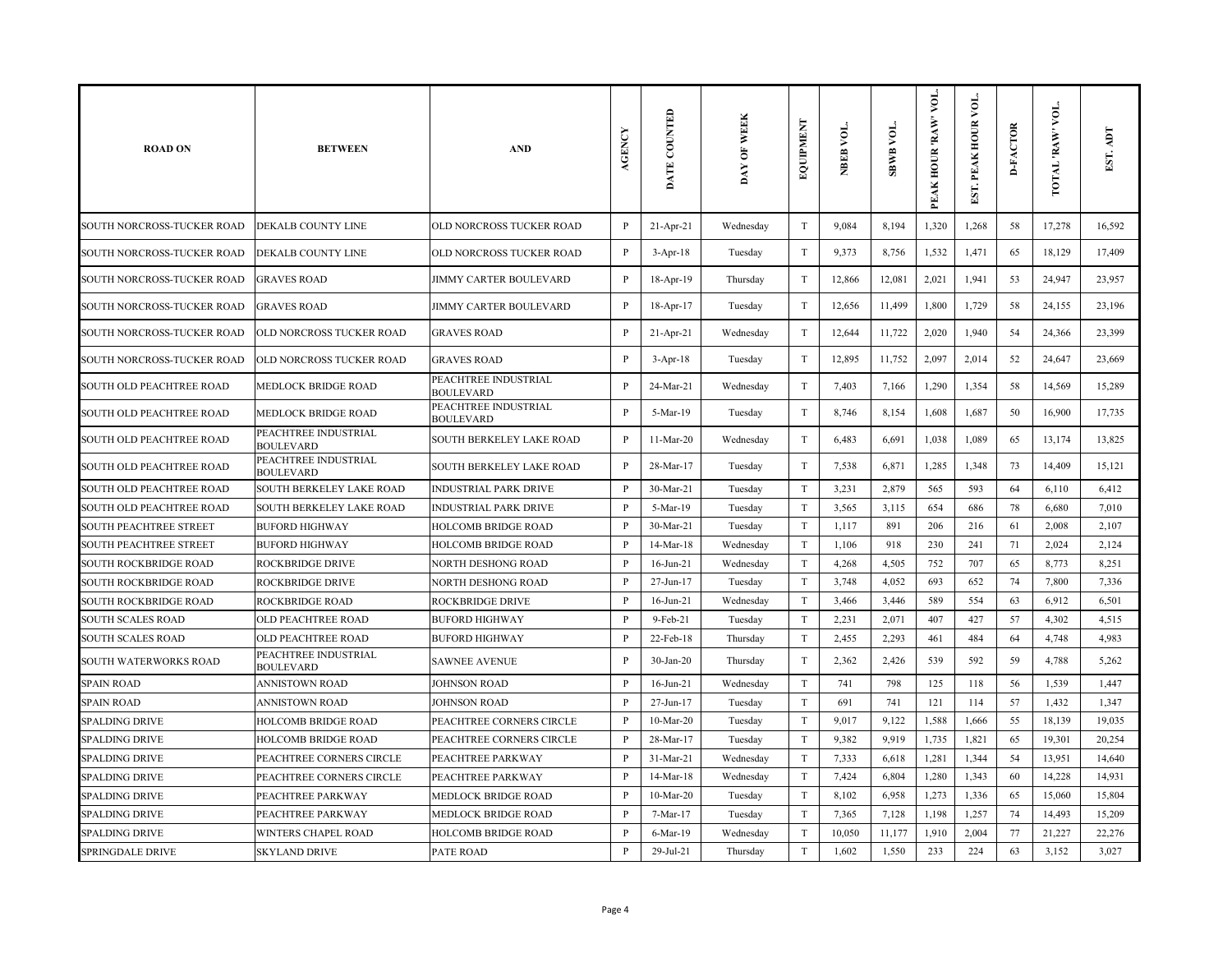| <b>ROAD ON</b>                | <b>BETWEEN</b>                           | <b>AND</b>                               | AGENCY       | DATE COUNTED    | DAY OF WEEK | EQUIPMENT                 | NBEB VOL. | SBWB VOL. | VOL.<br>PEAK HOUR 'RAW' | Σ₫<br>PEAK HOUR<br>EST. | <b>D-FACTOR</b> | VOL.<br>TOTAL 'RAW' | EST.   |
|-------------------------------|------------------------------------------|------------------------------------------|--------------|-----------------|-------------|---------------------------|-----------|-----------|-------------------------|-------------------------|-----------------|---------------------|--------|
| SOUTH NORCROSS-TUCKER ROAD    | DEKALB COUNTY LINE                       | OLD NORCROSS TUCKER ROAD                 | $\, {\bf P}$ | 21-Apr-21       | Wednesday   | T                         | 9,084     | 8,194     | 1,320                   | 1,268                   | 58              | 17,278              | 16,592 |
| SOUTH NORCROSS-TUCKER ROAD    | DEKALB COUNTY LINE                       | OLD NORCROSS TUCKER ROAD                 | $\, {\bf P}$ | $3-Apr-18$      | Tuesday     | $\ensuremath{\mathrm{T}}$ | 9,373     | 8,756     | 1,532                   | 1,471                   | 65              | 18,129              | 17,409 |
| SOUTH NORCROSS-TUCKER ROAD    | <b>GRAVES ROAD</b>                       | JIMMY CARTER BOULEVARD                   | $\, {\bf P}$ | 18-Apr-19       | Thursday    | T                         | 12,866    | 12,081    | 2,021                   | 1,941                   | 53              | 24,947              | 23,957 |
| SOUTH NORCROSS-TUCKER ROAD    | <b>GRAVES ROAD</b>                       | <b>JIMMY CARTER BOULEVARD</b>            | $\mathbf{P}$ | 18-Apr-17       | Tuesday     | T                         | 12,656    | 11,499    | 1,800                   | 1,729                   | 58              | 24,155              | 23,196 |
| SOUTH NORCROSS-TUCKER ROAD    | OLD NORCROSS TUCKER ROAD                 | <b>GRAVES ROAD</b>                       | $\mathbf{P}$ | $21 - Apr - 21$ | Wednesday   | T                         | 12,644    | 11,722    | 2,020                   | 1,940                   | 54              | 24,366              | 23,399 |
| SOUTH NORCROSS-TUCKER ROAD    | OLD NORCROSS TUCKER ROAD                 | <b>GRAVES ROAD</b>                       | $\mathbf{P}$ | $3-Apr-18$      | Tuesday     | T                         | 12,895    | 11,752    | 2,097                   | 2,014                   | 52              | 24,647              | 23,669 |
| SOUTH OLD PEACHTREE ROAD      | MEDLOCK BRIDGE ROAD                      | PEACHTREE INDUSTRIAL<br><b>BOULEVARD</b> | $\mathbf{P}$ | 24-Mar-21       | Wednesday   | $\ensuremath{\mathrm{T}}$ | 7,403     | 7,166     | 1,290                   | 1,354                   | 58              | 14,569              | 15,289 |
| SOUTH OLD PEACHTREE ROAD      | MEDLOCK BRIDGE ROAD                      | PEACHTREE INDUSTRIAL<br><b>BOULEVARD</b> | $\mathbf{P}$ | 5-Mar-19        | Tuesday     | T                         | 8,746     | 8,154     | 1,608                   | 1,687                   | 50              | 16,900              | 17,735 |
| SOUTH OLD PEACHTREE ROAD      | PEACHTREE INDUSTRIAL<br><b>BOULEVARD</b> | SOUTH BERKELEY LAKE ROAD                 | $\mathbf{P}$ | $11-Mar-20$     | Wednesday   | T                         | 6,483     | 6,691     | 1,038                   | 1,089                   | 65              | 13,174              | 13,825 |
| SOUTH OLD PEACHTREE ROAD      | PEACHTREE INDUSTRIAL<br><b>BOULEVARD</b> | SOUTH BERKELEY LAKE ROAD                 | P            | 28-Mar-17       | Tuesday     | T                         | 7,538     | 6,871     | 1,285                   | 1,348                   | 73              | 14,409              | 15,121 |
| SOUTH OLD PEACHTREE ROAD      | SOUTH BERKELEY LAKE ROAD                 | <b>INDUSTRIAL PARK DRIVE</b>             | $\mathbf{P}$ | 30-Mar-21       | Tuesday     | T                         | 3,231     | 2,879     | 565                     | 593                     | 64              | 6,110               | 6,412  |
| SOUTH OLD PEACHTREE ROAD      | SOUTH BERKELEY LAKE ROAD                 | <b>INDUSTRIAL PARK DRIVE</b>             | $\mathbf{P}$ | 5-Mar-19        | Tuesday     | $\ensuremath{\mathrm{T}}$ | 3,565     | 3,115     | 654                     | 686                     | 78              | 6,680               | 7,010  |
| <b>SOUTH PEACHTREE STREET</b> | <b>BUFORD HIGHWAY</b>                    | <b>HOLCOMB BRIDGE ROAD</b>               | $\mathbf{P}$ | 30-Mar-21       | Tuesday     | T                         | 1,117     | 891       | 206                     | 216                     | 61              | 2,008               | 2,107  |
| SOUTH PEACHTREE STREET        | <b>BUFORD HIGHWAY</b>                    | HOLCOMB BRIDGE ROAD                      | $\mathbf{P}$ | 14-Mar-18       | Wednesday   | T                         | 1,106     | 918       | 230                     | 241                     | 71              | 2,024               | 2,124  |
| <b>SOUTH ROCKBRIDGE ROAD</b>  | ROCKBRIDGE DRIVE                         | NORTH DESHONG ROAD                       | $\mathbf{P}$ | $16$ -Jun-21    | Wednesday   | T                         | 4,268     | 4,505     | 752                     | 707                     | 65              | 8,773               | 8,251  |
| <b>SOUTH ROCKBRIDGE ROAD</b>  | ROCKBRIDGE DRIVE                         | <b>NORTH DESHONG ROAD</b>                | $\mathbf{P}$ | 27-Jun-17       | Tuesday     | T                         | 3,748     | 4,052     | 693                     | 652                     | 74              | 7,800               | 7,336  |
| <b>SOUTH ROCKBRIDGE ROAD</b>  | ROCKBRIDGE ROAD                          | <b>ROCKBRIDGE DRIVE</b>                  | $\mathbf{P}$ | $16$ -Jun-21    | Wednesday   | T                         | 3,466     | 3,446     | 589                     | 554                     | 63              | 6,912               | 6,501  |
| <b>SOUTH SCALES ROAD</b>      | <b>OLD PEACHTREE ROAD</b>                | <b>BUFORD HIGHWAY</b>                    | $\mathbf{P}$ | $9-Feb-21$      | Tuesday     | T                         | 2,231     | 2,071     | 407                     | 427                     | 57              | 4,302               | 4,515  |
| <b>SOUTH SCALES ROAD</b>      | OLD PEACHTREE ROAD                       | <b>BUFORD HIGHWAY</b>                    | $\mathbf{P}$ | 22-Feb-18       | Thursday    | $\ensuremath{\mathrm{T}}$ | 2,455     | 2,293     | 461                     | 484                     | 64              | 4,748               | 4,983  |
| SOUTH WATERWORKS ROAD         | PEACHTREE INDUSTRIAL<br><b>BOULEVARD</b> | <b>SAWNEE AVENUE</b>                     | $\mathbf{P}$ | $30-Ian-20$     | Thursday    | T                         | 2,362     | 2,426     | 539                     | 592                     | 59              | 4,788               | 5,262  |
| <b>SPAIN ROAD</b>             | ANNISTOWN ROAD                           | <b>JOHNSON ROAD</b>                      | $\mathbf{P}$ | $16$ -Jun-21    | Wednesday   | $\ensuremath{\mathrm{T}}$ | 741       | 798       | 125                     | 118                     | 56              | 1,539               | 1,447  |
| <b>SPAIN ROAD</b>             | <b>ANNISTOWN ROAD</b>                    | <b>JOHNSON ROAD</b>                      | $\mathbf{P}$ | 27-Jun-17       | Tuesday     | T                         | 691       | 741       | 121                     | 114                     | 57              | 1,432               | 1,347  |
| <b>SPALDING DRIVE</b>         | HOLCOMB BRIDGE ROAD                      | PEACHTREE CORNERS CIRCLE                 | P            | $10-Mar-20$     | Tuesday     | T                         | 9,017     | 9,122     | 1,588                   | 1,666                   | 55              | 18,139              | 19,035 |
| <b>SPALDING DRIVE</b>         | HOLCOMB BRIDGE ROAD                      | PEACHTREE CORNERS CIRCLE                 | $\mathbf{P}$ | 28-Mar-17       | Tuesday     | T                         | 9,382     | 9,919     | 1,735                   | 1,821                   | 65              | 19,301              | 20,254 |
| <b>SPALDING DRIVE</b>         | PEACHTREE CORNERS CIRCLE                 | PEACHTREE PARKWAY                        | $\mathbf{P}$ | 31-Mar-21       | Wednesday   | T                         | 7,333     | 6,618     | 1,281                   | 1,344                   | 54              | 13,951              | 14,640 |
| <b>SPALDING DRIVE</b>         | PEACHTREE CORNERS CIRCLE                 | PEACHTREE PARKWAY                        | $\mathbf{P}$ | 14-Mar-18       | Wednesday   | $\ensuremath{\mathrm{T}}$ | 7,424     | 6,804     | 1,280                   | 1,343                   | 60              | 14,228              | 14,931 |
| <b>SPALDING DRIVE</b>         | PEACHTREE PARKWAY                        | MEDLOCK BRIDGE ROAD                      | P            | $10-Mar-20$     | Tuesday     | T                         | 8,102     | 6,958     | 1,273                   | 1,336                   | 65              | 15,060              | 15,804 |
| <b>SPALDING DRIVE</b>         | PEACHTREE PARKWAY                        | MEDLOCK BRIDGE ROAD                      | $\mathbf{P}$ | 7-Mar-17        | Tuesday     | T                         | 7,365     | 7,128     | 1,198                   | 1,257                   | 74              | 14,493              | 15,209 |
| <b>SPALDING DRIVE</b>         | WINTERS CHAPEL ROAD                      | HOLCOMB BRIDGE ROAD                      | P            | 6-Mar-19        | Wednesday   | T                         | 10,050    | 11,177    | 1,910                   | 2,004                   | 77              | 21,227              | 22,276 |
| <b>SPRINGDALE DRIVE</b>       | <b>SKYLAND DRIVE</b>                     | <b>PATE ROAD</b>                         | $\mathbf{P}$ | 29-Jul-21       | Thursday    | T                         | 1,602     | 1,550     | 233                     | 224                     | 63              | 3,152               | 3,027  |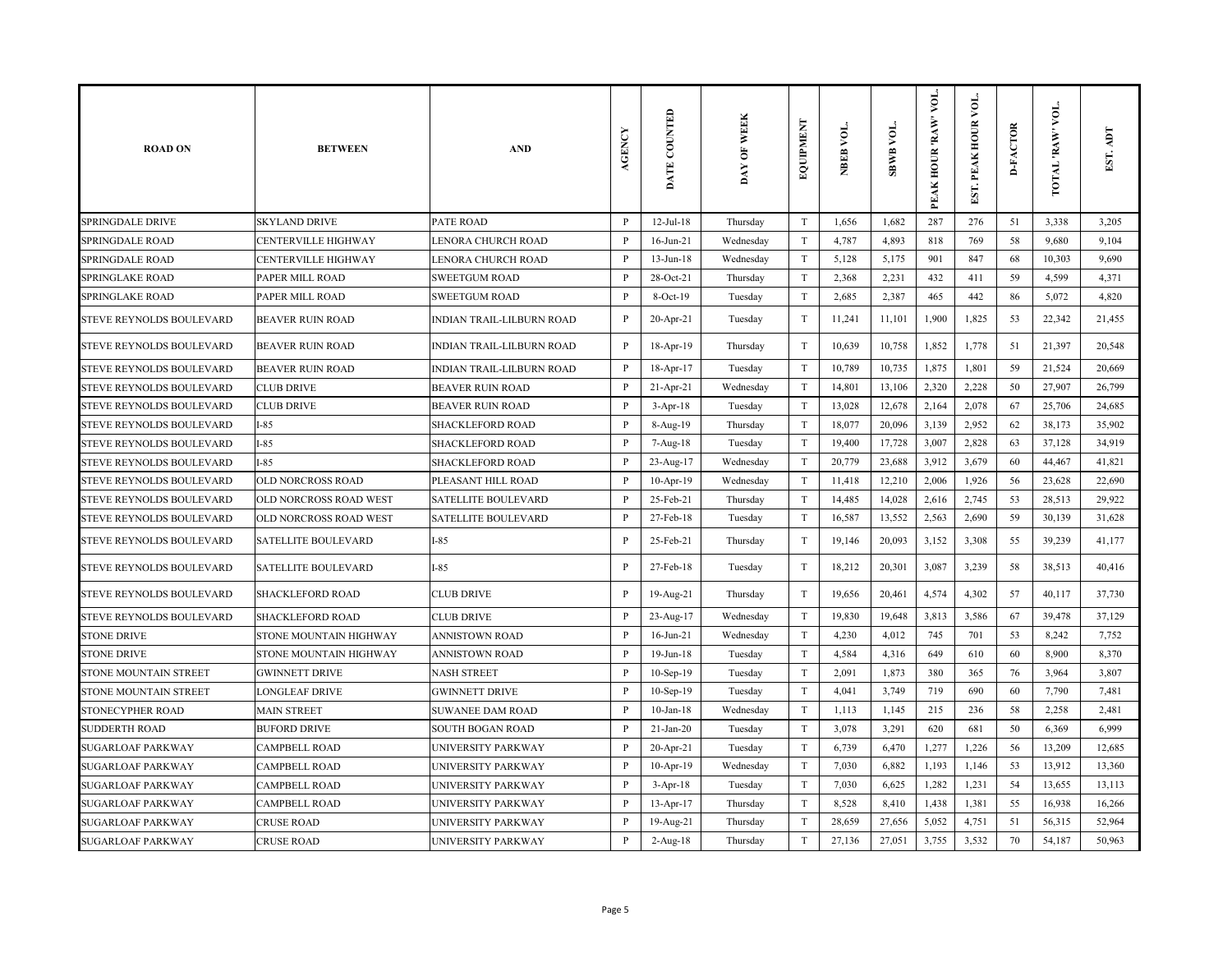| <b>ROAD ON</b>                  | <b>BETWEEN</b>             | <b>AND</b>                       | <b>AGENCY</b> | DATE COUNTED    | DAY OF WEEK | EQUIPMENT                 | NBEB VOL. | <b>SBWB VOL.</b> | VOL.<br>PEAK HOUR 'RAW' | $\overline{\mathsf{A}}$<br>EST. PEAK HOUR | <b>D-FACTOR</b> | VOL.<br>TOTAL 'RAW | EST. ADT |
|---------------------------------|----------------------------|----------------------------------|---------------|-----------------|-------------|---------------------------|-----------|------------------|-------------------------|-------------------------------------------|-----------------|--------------------|----------|
| <b>SPRINGDALE DRIVE</b>         | <b>SKYLAND DRIVE</b>       | <b>PATE ROAD</b>                 | $\mathbf{P}$  | $12$ -Jul- $18$ | Thursday    | T                         | 1,656     | 1,682            | 287                     | 276                                       | 51              | 3,338              | 3,205    |
| <b>SPRINGDALE ROAD</b>          | <b>CENTERVILLE HIGHWAY</b> | LENORA CHURCH ROAD               | P             | $16$ -Jun-21    | Wednesday   | T                         | 4,787     | 4,893            | 818                     | 769                                       | 58              | 9,680              | 9,104    |
| SPRINGDALE ROAD                 | <b>CENTERVILLE HIGHWAY</b> | LENORA CHURCH ROAD               | P             | $13$ -Jun- $18$ | Wednesday   | T                         | 5,128     | 5,175            | 901                     | 847                                       | 68              | 10,303             | 9,690    |
| SPRINGLAKE ROAD                 | PAPER MILL ROAD            | <b>SWEETGUM ROAD</b>             | P             | 28-Oct-21       | Thursday    | T                         | 2,368     | 2,231            | 432                     | 411                                       | 59              | 4,599              | 4,371    |
| SPRINGLAKE ROAD                 | PAPER MILL ROAD            | <b>SWEETGUM ROAD</b>             | P             | 8-Oct-19        | Tuesday     | T                         | 2,685     | 2,387            | 465                     | 442                                       | 86              | 5,072              | 4,820    |
| STEVE REYNOLDS BOULEVARD        | <b>BEAVER RUIN ROAD</b>    | INDIAN TRAIL-LILBURN ROAD        | $\mathbf P$   | 20-Apr-21       | Tuesday     | $\rm T$                   | 11,241    | 11,101           | 1,900                   | 1,825                                     | 53              | 22,342             | 21,455   |
| STEVE REYNOLDS BOULEVARD        | <b>BEAVER RUIN ROAD</b>    | <b>INDIAN TRAIL-LILBURN ROAD</b> | P             | 18-Apr-19       | Thursday    | T                         | 10,639    | 10,758           | 1,852                   | 1,778                                     | 51              | 21,397             | 20,548   |
| STEVE REYNOLDS BOULEVARD        | <b>BEAVER RUIN ROAD</b>    | INDIAN TRAIL-LILBURN ROAD        | P             | 18-Apr-17       | Tuesday     | $\rm T$                   | 10,789    | 10,735           | 1,875                   | 1,801                                     | 59              | 21,524             | 20,669   |
| STEVE REYNOLDS BOULEVARD        | <b>CLUB DRIVE</b>          | <b>BEAVER RUIN ROAD</b>          | P             | 21-Apr-21       | Wednesday   | $\rm T$                   | 14,801    | 13,106           | 2,320                   | 2,228                                     | 50              | 27,907             | 26,799   |
| STEVE REYNOLDS BOULEVARD        | <b>CLUB DRIVE</b>          | <b>BEAVER RUIN ROAD</b>          | $\, {\bf P}$  | $3-Apr-18$      | Tuesday     | T                         | 13,028    | 12,678           | 2,164                   | 2,078                                     | 67              | 25,706             | 24,685   |
| STEVE REYNOLDS BOULEVARD        | $I-85$                     | <b>SHACKLEFORD ROAD</b>          | $\mathbf{P}$  | 8-Aug-19        | Thursday    | $\ensuremath{\mathrm{T}}$ | 18,077    | 20,096           | 3,139                   | 2,952                                     | 62              | 38,173             | 35,902   |
| STEVE REYNOLDS BOULEVARD        | $I-85$                     | SHACKLEFORD ROAD                 | $\mathbf{P}$  | 7-Aug-18        | Tuesday     | T                         | 19,400    | 17,728           | 3,007                   | 2,828                                     | 63              | 37,128             | 34,919   |
| STEVE REYNOLDS BOULEVARD        | $I-85$                     | <b>SHACKLEFORD ROAD</b>          | $\mathbf{P}$  | 23-Aug-17       | Wednesday   | T                         | 20,779    | 23,688           | 3,912                   | 3,679                                     | 60              | 44,467             | 41,821   |
| STEVE REYNOLDS BOULEVARD        | OLD NORCROSS ROAD          | PLEASANT HILL ROAD               | P             | 10-Apr-19       | Wednesday   | T                         | 11,418    | 12,210           | 2,006                   | 1,926                                     | 56              | 23,628             | 22,690   |
| STEVE REYNOLDS BOULEVARD        | OLD NORCROSS ROAD WEST     | <b>SATELLITE BOULEVARD</b>       | $\mathbf{P}$  | 25-Feb-21       | Thursday    | $\ensuremath{\mathrm{T}}$ | 14,485    | 14,028           | 2,616                   | 2,745                                     | 53              | 28,513             | 29,922   |
| STEVE REYNOLDS BOULEVARD        | OLD NORCROSS ROAD WEST     | <b>SATELLITE BOULEVARD</b>       | $\mathbf{P}$  | 27-Feb-18       | Tuesday     | T                         | 16,587    | 13,552           | 2,563                   | 2,690                                     | 59              | 30,139             | 31,628   |
| <b>STEVE REYNOLDS BOULEVARD</b> | <b>SATELLITE BOULEVARD</b> | $I-85$                           | $\mathbf{P}$  | 25-Feb-21       | Thursday    | T                         | 19,146    | 20,093           | 3,152                   | 3,308                                     | 55              | 39,239             | 41,177   |
| STEVE REYNOLDS BOULEVARD        | SATELLITE BOULEVARD        | $I-85$                           | $\mathbf{P}$  | 27-Feb-18       | Tuesday     | T                         | 18,212    | 20,301           | 3,087                   | 3,239                                     | 58              | 38,513             | 40,416   |
| STEVE REYNOLDS BOULEVARD        | <b>SHACKLEFORD ROAD</b>    | <b>CLUB DRIVE</b>                | $\mathbf{P}$  | 19-Aug-21       | Thursday    | T                         | 19,656    | 20,461           | 4,574                   | 4,302                                     | 57              | 40,117             | 37,730   |
| STEVE REYNOLDS BOULEVARD        | SHACKLEFORD ROAD           | <b>CLUB DRIVE</b>                | P             | 23-Aug-17       | Wednesday   | T                         | 19,830    | 19,648           | 3,813                   | 3,586                                     | 67              | 39,478             | 37,129   |
| <b>STONE DRIVE</b>              | STONE MOUNTAIN HIGHWAY     | ANNISTOWN ROAD                   | P             | $16$ -Jun-21    | Wednesday   | T                         | 4,230     | 4,012            | 745                     | 701                                       | 53              | 8,242              | 7,752    |
| <b>STONE DRIVE</b>              | STONE MOUNTAIN HIGHWAY     | ANNISTOWN ROAD                   | P             | $19$ -Jun- $18$ | Tuesday     | $\mathbf T$               | 4,584     | 4,316            | 649                     | 610                                       | 60              | 8,900              | 8,370    |
| STONE MOUNTAIN STREET           | <b>GWINNETT DRIVE</b>      | <b>NASH STREET</b>               | P             | 10-Sep-19       | Tuesday     | T                         | 2,091     | 1,873            | 380                     | 365                                       | 76              | 3,964              | 3,807    |
| STONE MOUNTAIN STREET           | LONGLEAF DRIVE             | <b>GWINNETT DRIVE</b>            | $\mathbf{P}$  | $10-Sep-19$     | Tuesday     | T                         | 4,041     | 3,749            | 719                     | 690                                       | 60              | 7,790              | 7,481    |
| <b>STONECYPHER ROAD</b>         | <b>MAIN STREET</b>         | <b>SUWANEE DAM ROAD</b>          | P             | $10$ -Jan- $18$ | Wednesday   | T                         | 1,113     | 1,145            | 215                     | 236                                       | 58              | 2,258              | 2,481    |
| <b>SUDDERTH ROAD</b>            | <b>BUFORD DRIVE</b>        | SOUTH BOGAN ROAD                 | P             | $21-Ian-20$     | Tuesday     | T                         | 3,078     | 3,291            | 620                     | 681                                       | 50              | 6,369              | 6,999    |
| <b>SUGARLOAF PARKWAY</b>        | <b>CAMPBELL ROAD</b>       | UNIVERSITY PARKWAY               | $\mathbf{P}$  | 20-Apr-21       | Tuesday     | T                         | 6,739     | 6,470            | 1,277                   | 1,226                                     | 56              | 13,209             | 12,685   |
| <b>SUGARLOAF PARKWAY</b>        | <b>CAMPBELL ROAD</b>       | UNIVERSITY PARKWAY               | $\mathbf{P}$  | 10-Apr-19       | Wednesday   | T                         | 7,030     | 6,882            | 1,193                   | 1,146                                     | 53              | 13,912             | 13,360   |
| <b>SUGARLOAF PARKWAY</b>        | <b>CAMPBELL ROAD</b>       | UNIVERSITY PARKWAY               | P             | $3-Apr-18$      | Tuesday     | T                         | 7,030     | 6,625            | 1,282                   | 1,231                                     | 54              | 13,655             | 13,113   |
| <b>SUGARLOAF PARKWAY</b>        | CAMPBELL ROAD              | UNIVERSITY PARKWAY               | P             | 13-Apr-17       | Thursday    | T                         | 8,528     | 8,410            | 1,438                   | 1,381                                     | 55              | 16,938             | 16,266   |
| <b>SUGARLOAF PARKWAY</b>        | <b>CRUSE ROAD</b>          | UNIVERSITY PARKWAY               | P             | 19-Aug-21       | Thursday    | T                         | 28,659    | 27,656           | 5,052                   | 4,751                                     | 51              | 56,315             | 52,964   |
| <b>SUGARLOAF PARKWAY</b>        | <b>CRUSE ROAD</b>          | UNIVERSITY PARKWAY               | $\, {\bf P}$  | $2-Aug-18$      | Thursday    | T                         | 27,136    | 27,051           | 3,755                   | 3,532                                     | 70              | 54,187             | 50,963   |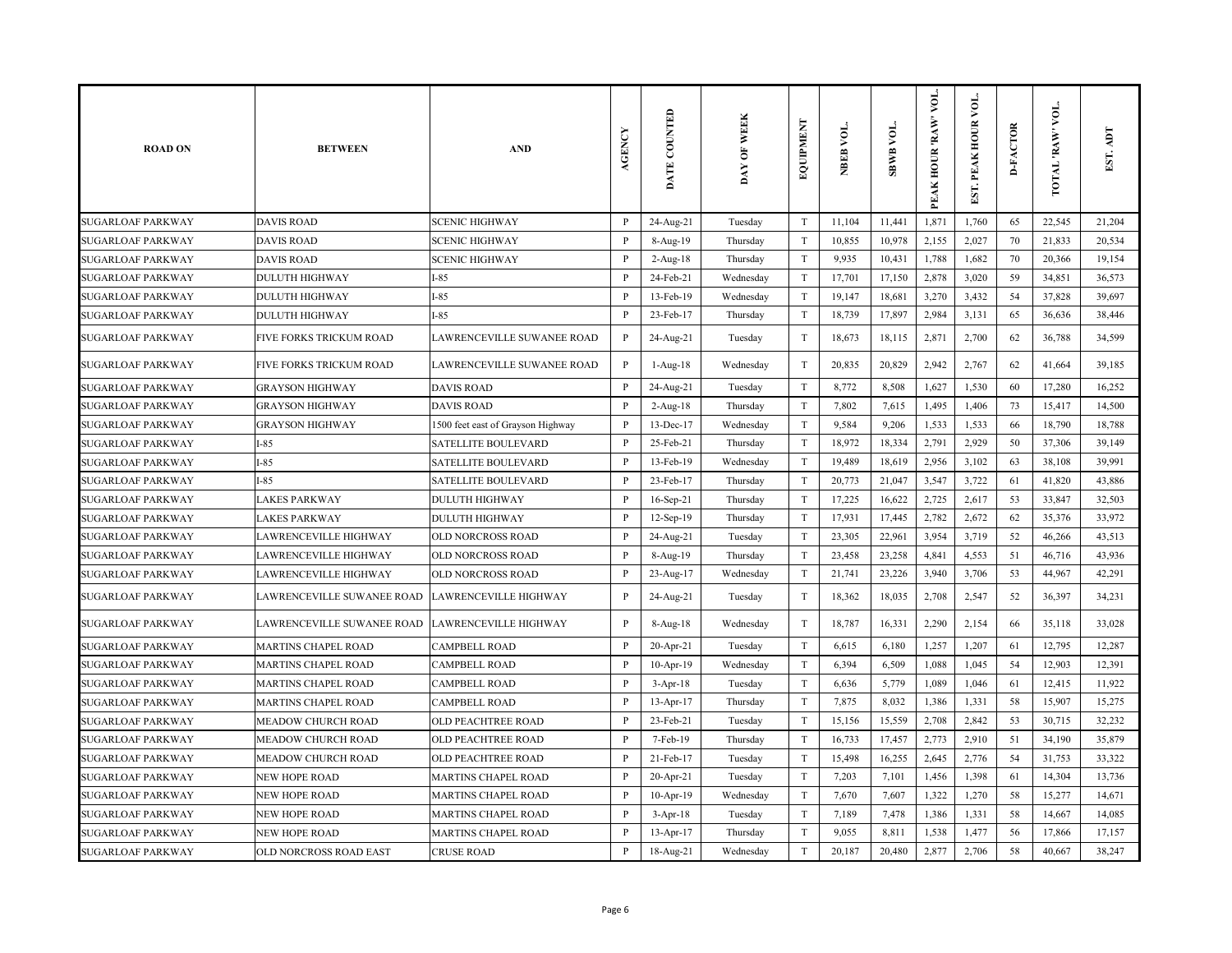| <b>ROAD ON</b>           | <b>BETWEEN</b>             | <b>AND</b>                        | <b>AGENCY</b> | DATE COUNTED   | DAY OF WEEK | EQUIPMENT                 | NBEB VOL. | <b>SBWB VOL.</b> | VOL.<br>PEAK HOUR 'RAW' | $\overline{\mathsf{L}}$<br>EST. PEAK HOUR | <b>D-FACTOR</b> | TOTAL 'RAW' VOL | EST. ADT |
|--------------------------|----------------------------|-----------------------------------|---------------|----------------|-------------|---------------------------|-----------|------------------|-------------------------|-------------------------------------------|-----------------|-----------------|----------|
| <b>SUGARLOAF PARKWAY</b> | <b>DAVIS ROAD</b>          | <b>SCENIC HIGHWAY</b>             | $\mathbf{P}$  | 24-Aug-21      | Tuesday     | $\ensuremath{\mathrm{T}}$ | 11,104    | 11,441           | 1,871                   | 1,760                                     | 65              | 22,545          | 21,204   |
| <b>SUGARLOAF PARKWAY</b> | <b>DAVIS ROAD</b>          | <b>SCENIC HIGHWAY</b>             | P             | 8-Aug-19       | Thursday    | $\mathbf T$               | 10,855    | 10,978           | 2,155                   | 2,027                                     | 70              | 21,833          | 20,534   |
| <b>SUGARLOAF PARKWAY</b> | <b>DAVIS ROAD</b>          | <b>SCENIC HIGHWAY</b>             | $\mathbf{P}$  | $2$ -Aug- $18$ | Thursday    | T                         | 9,935     | 10,431           | 1,788                   | 1,682                                     | 70              | 20,366          | 19,154   |
| <b>SUGARLOAF PARKWAY</b> | <b>DULUTH HIGHWAY</b>      | $I-85$                            | P             | 24-Feb-21      | Wednesday   | T                         | 17,701    | 17,150           | 2,878                   | 3,020                                     | 59              | 34,851          | 36,573   |
| <b>SUGARLOAF PARKWAY</b> | <b>DULUTH HIGHWAY</b>      | $I-85$                            | $\mathbf{P}$  | 13-Feb-19      | Wednesday   | $\rm T$                   | 19,147    | 18,681           | 3,270                   | 3,432                                     | 54              | 37,828          | 39,697   |
| <b>SUGARLOAF PARKWAY</b> | <b>DULUTH HIGHWAY</b>      | $I-85$                            | $\mathbf{P}$  | 23-Feb-17      | Thursday    | T                         | 18,739    | 17,897           | 2,984                   | 3,131                                     | 65              | 36,636          | 38,446   |
| <b>SUGARLOAF PARKWAY</b> | FIVE FORKS TRICKUM ROAD    | LAWRENCEVILLE SUWANEE ROAD        | $\, {\bf P}$  | 24-Aug-21      | Tuesday     | T                         | 18,673    | 18,115           | 2,871                   | 2,700                                     | 62              | 36,788          | 34,599   |
| <b>SUGARLOAF PARKWAY</b> | FIVE FORKS TRICKUM ROAD    | LAWRENCEVILLE SUWANEE ROAD        | $\, {\bf P}$  | 1-Aug-18       | Wednesday   | T                         | 20,835    | 20,829           | 2,942                   | 2,767                                     | 62              | 41,664          | 39,185   |
| <b>SUGARLOAF PARKWAY</b> | <b>GRAYSON HIGHWAY</b>     | <b>DAVIS ROAD</b>                 | $\mathbf{P}$  | 24-Aug-21      | Tuesday     | $\rm T$                   | 8,772     | 8,508            | 1,627                   | 1,530                                     | 60              | 17,280          | 16,252   |
| <b>SUGARLOAF PARKWAY</b> | <b>GRAYSON HIGHWAY</b>     | <b>DAVIS ROAD</b>                 | $\mathbf{P}$  | $2-Aug-18$     | Thursday    | T                         | 7,802     | 7,615            | 1,495                   | 1,406                                     | 73              | 15,417          | 14,500   |
| <b>SUGARLOAF PARKWAY</b> | <b>GRAYSON HIGHWAY</b>     | 1500 feet east of Grayson Highway | P             | 13-Dec-17      | Wednesday   | $\mathbf T$               | 9,584     | 9,206            | 1,533                   | 1,533                                     | 66              | 18,790          | 18,788   |
| <b>SUGARLOAF PARKWAY</b> | $I-85$                     | <b>SATELLITE BOULEVARD</b>        | P             | 25-Feb-21      | Thursday    | $\mathbf T$               | 18,972    | 18,334           | 2,791                   | 2,929                                     | 50              | 37,306          | 39,149   |
| <b>SUGARLOAF PARKWAY</b> | $I-85$                     | <b>SATELLITE BOULEVARD</b>        | $\, {\bf P}$  | 13-Feb-19      | Wednesday   | $\mathbf T$               | 19,489    | 18,619           | 2,956                   | 3,102                                     | 63              | 38,108          | 39,991   |
| <b>SUGARLOAF PARKWAY</b> | $I-85$                     | SATELLITE BOULEVARD               | $\mathbf{P}$  | 23-Feb-17      | Thursday    | $\rm T$                   | 20,773    | 21,047           | 3,547                   | 3,722                                     | 61              | 41,820          | 43,886   |
| <b>SUGARLOAF PARKWAY</b> | <b>LAKES PARKWAY</b>       | <b>DULUTH HIGHWAY</b>             | $\mathbf{P}$  | 16-Sep-21      | Thursday    | T                         | 17,225    | 16,622           | 2,725                   | 2,617                                     | 53              | 33,847          | 32,503   |
| <b>SUGARLOAF PARKWAY</b> | <b>LAKES PARKWAY</b>       | <b>DULUTH HIGHWAY</b>             | $\mathbf{P}$  | 12-Sep-19      | Thursday    | T                         | 17,931    | 17,445           | 2,782                   | 2,672                                     | 62              | 35,376          | 33,972   |
| <b>SUGARLOAF PARKWAY</b> | LAWRENCEVILLE HIGHWAY      | OLD NORCROSS ROAD                 | P             | 24-Aug-21      | Tuesday     | $\rm T$                   | 23,305    | 22,961           | 3,954                   | 3,719                                     | 52              | 46,266          | 43,513   |
| <b>SUGARLOAF PARKWAY</b> | LAWRENCEVILLE HIGHWAY      | OLD NORCROSS ROAD                 | $\mathbf{P}$  | 8-Aug-19       | Thursday    | T                         | 23,458    | 23,258           | 4,841                   | 4,553                                     | 51              | 46,716          | 43,936   |
| <b>SUGARLOAF PARKWAY</b> | LAWRENCEVILLE HIGHWAY      | OLD NORCROSS ROAD                 | P             | 23-Aug-17      | Wednesday   | T                         | 21,741    | 23,226           | 3,940                   | 3,706                                     | 53              | 44,967          | 42,291   |
| <b>SUGARLOAF PARKWAY</b> | LAWRENCEVILLE SUWANEE ROAD | <b>LAWRENCEVILLE HIGHWAY</b>      | $\mathbf{P}$  | 24-Aug-21      | Tuesday     | $\mathbf T$               | 18,362    | 18,035           | 2,708                   | 2,547                                     | 52              | 36,397          | 34,231   |
| <b>SUGARLOAF PARKWAY</b> | LAWRENCEVILLE SUWANEE ROAD | <b>LAWRENCEVILLE HIGHWAY</b>      | $\, {\bf P}$  | 8-Aug-18       | Wednesday   | $\ensuremath{\mathrm{T}}$ | 18,787    | 16,331           | 2,290                   | 2,154                                     | 66              | 35,118          | 33,028   |
| <b>SUGARLOAF PARKWAY</b> | <b>MARTINS CHAPEL ROAD</b> | <b>CAMPBELL ROAD</b>              | P             | 20-Apr-21      | Tuesday     | T                         | 6,615     | 6,180            | 1,257                   | 1,207                                     | 61              | 12,795          | 12,287   |
| <b>SUGARLOAF PARKWAY</b> | <b>MARTINS CHAPEL ROAD</b> | <b>CAMPBELL ROAD</b>              | $\, {\bf P}$  | $10-Apr-19$    | Wednesday   | T                         | 6,394     | 6,509            | 1,088                   | 1,045                                     | 54              | 12,903          | 12,391   |
| <b>SUGARLOAF PARKWAY</b> | <b>MARTINS CHAPEL ROAD</b> | <b>CAMPBELL ROAD</b>              | P             | $3-Apr-18$     | Tuesday     | T                         | 6,636     | 5,779            | 1,089                   | 1,046                                     | 61              | 12,415          | 11,922   |
| <b>SUGARLOAF PARKWAY</b> | <b>MARTINS CHAPEL ROAD</b> | <b>CAMPBELL ROAD</b>              | $\mathbf{P}$  | 13-Apr-17      | Thursday    | $\ensuremath{\mathrm{T}}$ | 7,875     | 8,032            | 1,386                   | 1,331                                     | 58              | 15,907          | 15,275   |
| <b>SUGARLOAF PARKWAY</b> | <b>MEADOW CHURCH ROAD</b>  | <b>OLD PEACHTREE ROAD</b>         | $\mathbf{P}$  | 23-Feb-21      | Tuesday     | $\rm T$                   | 15,156    | 15,559           | 2,708                   | 2,842                                     | 53              | 30,715          | 32,232   |
| <b>SUGARLOAF PARKWAY</b> | MEADOW CHURCH ROAD         | <b>OLD PEACHTREE ROAD</b>         | $\mathbf{P}$  | 7-Feb-19       | Thursday    | T                         | 16,733    | 17,457           | 2,773                   | 2,910                                     | 51              | 34,190          | 35,879   |
| <b>SUGARLOAF PARKWAY</b> | MEADOW CHURCH ROAD         | <b>OLD PEACHTREE ROAD</b>         | $\mathbf{P}$  | 21-Feb-17      | Tuesday     | T                         | 15,498    | 16,255           | 2,645                   | 2,776                                     | 54              | 31,753          | 33,322   |
| <b>SUGARLOAF PARKWAY</b> | <b>NEW HOPE ROAD</b>       | <b>MARTINS CHAPEL ROAD</b>        | P             | $20$ -Apr-21   | Tuesday     | T                         | 7,203     | 7,101            | 1,456                   | 1,398                                     | 61              | 14,304          | 13,736   |
| <b>SUGARLOAF PARKWAY</b> | <b>NEW HOPE ROAD</b>       | <b>MARTINS CHAPEL ROAD</b>        | $\mathbf{P}$  | 10-Apr-19      | Wednesday   | $\rm T$                   | 7,670     | 7,607            | 1,322                   | 1,270                                     | 58              | 15,277          | 14,671   |
| <b>SUGARLOAF PARKWAY</b> | NEW HOPE ROAD              | MARTINS CHAPEL ROAD               | $\mathbf{P}$  | $3-Apr-18$     | Tuesday     | $\mathbf T$               | 7,189     | 7,478            | 1,386                   | 1,331                                     | 58              | 14,667          | 14,085   |
| <b>SUGARLOAF PARKWAY</b> | <b>NEW HOPE ROAD</b>       | <b>MARTINS CHAPEL ROAD</b>        | P             | $13-Apr-17$    | Thursday    | $\mathbf T$               | 9,055     | 8,811            | 1,538                   | 1,477                                     | 56              | 17,866          | 17,157   |
| <b>SUGARLOAF PARKWAY</b> | OLD NORCROSS ROAD EAST     | <b>CRUSE ROAD</b>                 | P             | 18-Aug-21      | Wednesday   | T                         | 20,187    | 20,480           | 2,877                   | 2,706                                     | 58              | 40,667          | 38,247   |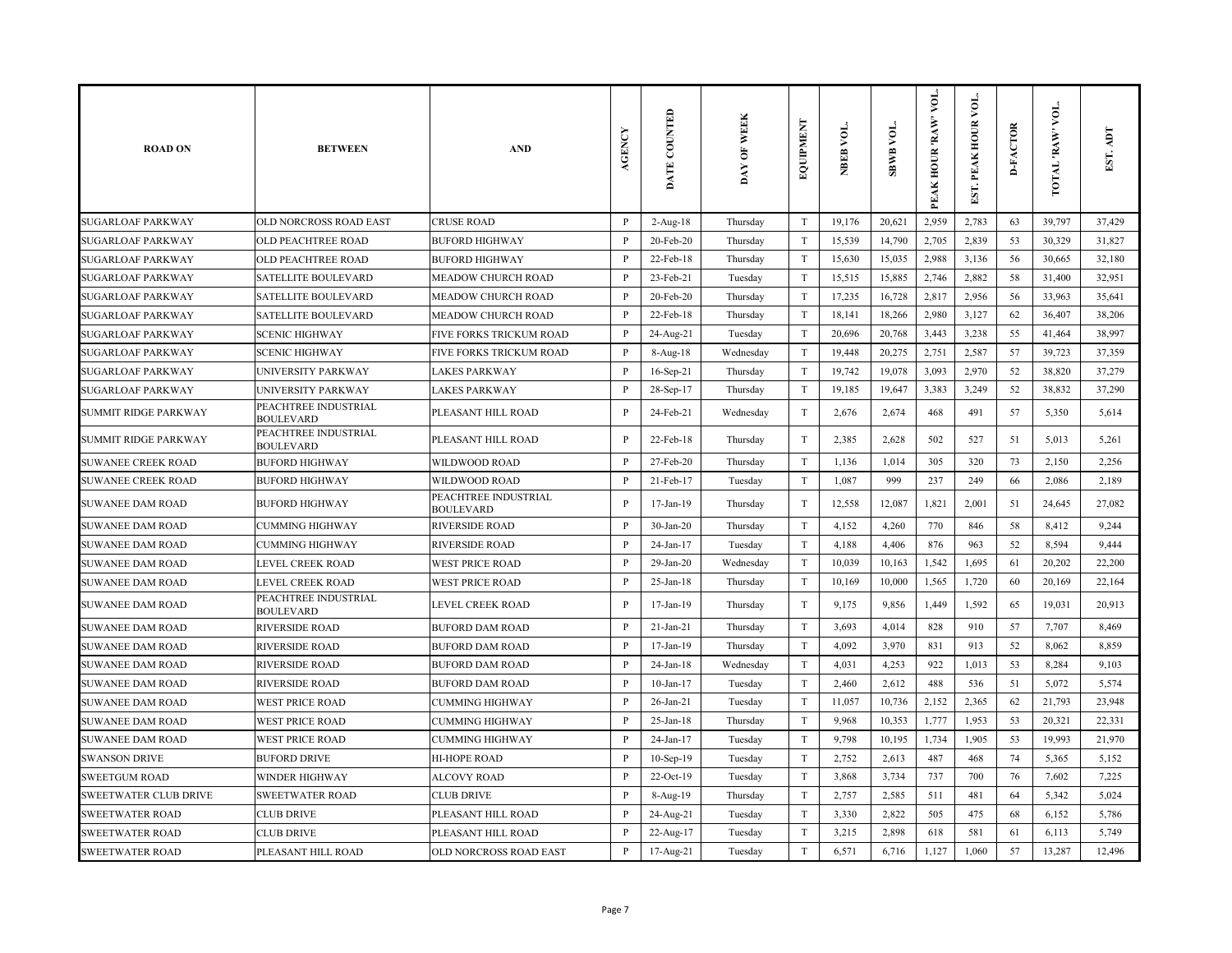| <b>ROAD ON</b>               | <b>BETWEEN</b>                           | <b>AND</b>                               | <b>AGENCY</b> | DATE COUNTED    | DAY OF WEEK | <b>EXEMENT</b>            | NBEB VOL. | VOL.<br><b>SBWB</b> | VOL.<br>PEAK HOUR 'RAW' | $\sum_{i=1}^{n}$<br>EST. PEAK HOUR | <b>D-FACTOR</b> | voL.<br>TOTAL 'RAW' | EST. ADT |
|------------------------------|------------------------------------------|------------------------------------------|---------------|-----------------|-------------|---------------------------|-----------|---------------------|-------------------------|------------------------------------|-----------------|---------------------|----------|
| <b>SUGARLOAF PARKWAY</b>     | OLD NORCROSS ROAD EAST                   | <b>CRUSE ROAD</b>                        | $\, {\bf P}$  | $2-Aug-18$      | Thursday    | $\rm T$                   | 19,176    | 20,621              | 2,959                   | 2,783                              | 63              | 39,797              | 37,429   |
| <b>SUGARLOAF PARKWAY</b>     | OLD PEACHTREE ROAD                       | <b>BUFORD HIGHWAY</b>                    | P             | $20$ -Feb- $20$ | Thursday    | $\rm T$                   | 15,539    | 14,790              | 2,705                   | 2,839                              | 53              | 30,329              | 31,827   |
| <b>SUGARLOAF PARKWAY</b>     | OLD PEACHTREE ROAD                       | <b>BUFORD HIGHWAY</b>                    | $\mathbf{P}$  | 22-Feb-18       | Thursday    | $\mathbf T$               | 15,630    | 15,035              | 2,988                   | 3,136                              | 56              | 30,665              | 32,180   |
| SUGARLOAF PARKWAY            | <b>SATELLITE BOULEVARD</b>               | MEADOW CHURCH ROAD                       | P             | 23-Feb-21       | Tuesday     | T                         | 15,515    | 15,885              | 2,746                   | 2,882                              | 58              | 31,400              | 32,951   |
| <b>SUGARLOAF PARKWAY</b>     | <b>SATELLITE BOULEVARD</b>               | MEADOW CHURCH ROAD                       | $\mathbf{P}$  | 20-Feb-20       | Thursday    | T                         | 17,235    | 16,728              | 2,817                   | 2,956                              | 56              | 33,963              | 35,641   |
| <b>SUGARLOAF PARKWAY</b>     | <b>SATELLITE BOULEVARD</b>               | MEADOW CHURCH ROAD                       | $\mathbf{P}$  | 22-Feb-18       | Thursday    | $\ensuremath{\mathrm{T}}$ | 18,141    | 18,266              | 2,980                   | 3,127                              | 62              | 36,407              | 38,206   |
| <b>SUGARLOAF PARKWAY</b>     | <b>SCENIC HIGHWAY</b>                    | FIVE FORKS TRICKUM ROAD                  | P             | 24-Aug-21       | Tuesday     | T                         | 20,696    | 20,768              | 3,443                   | 3,238                              | 55              | 41,464              | 38,997   |
| <b>SUGARLOAF PARKWAY</b>     | <b>SCENIC HIGHWAY</b>                    | FIVE FORKS TRICKUM ROAD                  | P             | 8-Aug-18        | Wednesday   | T                         | 19,448    | 20,275              | 2,751                   | 2,587                              | 57              | 39,723              | 37,359   |
| <b>SUGARLOAF PARKWAY</b>     | UNIVERSITY PARKWAY                       | <b>LAKES PARKWAY</b>                     | P             | $16-Sep-21$     | Thursday    | T                         | 19,742    | 19,078              | 3,093                   | 2,970                              | 52              | 38,820              | 37,279   |
| <b>SUGARLOAF PARKWAY</b>     | UNIVERSITY PARKWAY                       | <b>LAKES PARKWAY</b>                     | P             | 28-Sep-17       | Thursday    | $\ensuremath{\mathrm{T}}$ | 19,185    | 19,647              | 3,383                   | 3,249                              | 52              | 38,832              | 37,290   |
| SUMMIT RIDGE PARKWAY         | PEACHTREE INDUSTRIAL<br><b>BOULEVARD</b> | PLEASANT HILL ROAD                       | P             | 24-Feb-21       | Wednesday   | $\mathbf T$               | 2,676     | 2,674               | 468                     | 491                                | 57              | 5,350               | 5,614    |
| SUMMIT RIDGE PARKWAY         | PEACHTREE INDUSTRIAL<br><b>BOULEVARD</b> | PLEASANT HILL ROAD                       | P             | 22-Feb-18       | Thursday    | $\mathbf T$               | 2,385     | 2,628               | 502                     | 527                                | 51              | 5,013               | 5,261    |
| SUWANEE CREEK ROAD           | <b>BUFORD HIGHWAY</b>                    | WILDWOOD ROAD                            | $\mathbf{P}$  | 27-Feb-20       | Thursday    | $\ensuremath{\mathrm{T}}$ | 1,136     | 1,014               | 305                     | 320                                | 73              | 2,150               | 2,256    |
| <b>SUWANEE CREEK ROAD</b>    | <b>BUFORD HIGHWAY</b>                    | WILDWOOD ROAD                            | $\mathbf{P}$  | 21-Feb-17       | Tuesday     | $\mathbf T$               | 1,087     | 999                 | 237                     | 249                                | 66              | 2,086               | 2,189    |
| <b>SUWANEE DAM ROAD</b>      | <b>BUFORD HIGHWAY</b>                    | PEACHTREE INDUSTRIAL<br><b>BOULEVARD</b> | P             | 17-Jan-19       | Thursday    | $\mathbf T$               | 12,558    | 12,087              | 1,821                   | 2,001                              | 51              | 24,645              | 27,082   |
| SUWANEE DAM ROAD             | <b>CUMMING HIGHWAY</b>                   | <b>RIVERSIDE ROAD</b>                    | $\mathbf{P}$  | $30-Ian-20$     | Thursday    | $\mathbf T$               | 4,152     | 4,260               | 770                     | 846                                | 58              | 8,412               | 9,244    |
| <b>SUWANEE DAM ROAD</b>      | <b>CUMMING HIGHWAY</b>                   | <b>RIVERSIDE ROAD</b>                    | P             | 24-Jan-17       | Tuesday     | $\mathbf T$               | 4,188     | 4,406               | 876                     | 963                                | 52              | 8,594               | 9,444    |
| <b>SUWANEE DAM ROAD</b>      | LEVEL CREEK ROAD                         | <b>WEST PRICE ROAD</b>                   | P             | 29-Jan-20       | Wednesday   | $\mathbf T$               | 10,039    | 10,163              | 1,542                   | 1,695                              | 61              | 20,202              | 22,200   |
| SUWANEE DAM ROAD             | LEVEL CREEK ROAD                         | <b>WEST PRICE ROAD</b>                   | P             | $25$ -Jan-18    | Thursday    | $\mathbf T$               | 10,169    | 10,000              | 1,565                   | 1,720                              | 60              | 20,169              | 22,164   |
| SUWANEE DAM ROAD             | PEACHTREE INDUSTRIAL<br><b>BOULEVARD</b> | LEVEL CREEK ROAD                         | P             | 17-Jan-19       | Thursday    | $\ensuremath{\mathrm{T}}$ | 9,175     | 9,856               | 1,449                   | 1,592                              | 65              | 19,031              | 20,913   |
| <b>SUWANEE DAM ROAD</b>      | <b>RIVERSIDE ROAD</b>                    | <b>BUFORD DAM ROAD</b>                   | P             | 21-Jan-21       | Thursday    | $\ensuremath{\mathrm{T}}$ | 3,693     | 4,014               | 828                     | 910                                | 57              | 7,707               | 8,469    |
| <b>SUWANEE DAM ROAD</b>      | <b>RIVERSIDE ROAD</b>                    | <b>BUFORD DAM ROAD</b>                   | $\mathbf{P}$  | 17-Jan-19       | Thursday    | $\mathbf T$               | 4,092     | 3,970               | 831                     | 913                                | 52              | 8,062               | 8,859    |
| SUWANEE DAM ROAD             | <b>RIVERSIDE ROAD</b>                    | <b>BUFORD DAM ROAD</b>                   | P             | 24-Jan-18       | Wednesday   | $\rm T$                   | 4,031     | 4,253               | 922                     | 1,013                              | 53              | 8,284               | 9,103    |
| <b>SUWANEE DAM ROAD</b>      | <b>RIVERSIDE ROAD</b>                    | <b>BUFORD DAM ROAD</b>                   | P             | $10$ -Jan- $17$ | Tuesday     | $\ensuremath{\mathrm{T}}$ | 2,460     | 2,612               | 488                     | 536                                | 51              | 5,072               | 5,574    |
| SUWANEE DAM ROAD             | <b>WEST PRICE ROAD</b>                   | <b>CUMMING HIGHWAY</b>                   | P             | $26$ -Jan- $21$ | Tuesday     | $\mathbf T$               | 11,057    | 10,736              | 2,152                   | 2,365                              | 62              | 21,793              | 23,948   |
| <b>SUWANEE DAM ROAD</b>      | <b>WEST PRICE ROAD</b>                   | <b>CUMMING HIGHWAY</b>                   | P             | $25$ -Jan-18    | Thursday    | $\ensuremath{\mathrm{T}}$ | 9,968     | 10,353              | 1,777                   | 1,953                              | 53              | 20,321              | 22,331   |
| <b>SUWANEE DAM ROAD</b>      | <b>WEST PRICE ROAD</b>                   | <b>CUMMING HIGHWAY</b>                   | $\mathbf{P}$  | 24-Jan-17       | Tuesday     | $\mathbf T$               | 9,798     | 10,195              | 1,734                   | 1,905                              | 53              | 19,993              | 21,970   |
| <b>SWANSON DRIVE</b>         | <b>BUFORD DRIVE</b>                      | <b>HI-HOPE ROAD</b>                      | P             | $10-Sep-19$     | Tuesday     | $\rm T$                   | 2,752     | 2,613               | 487                     | 468                                | 74              | 5,365               | 5,152    |
| <b>SWEETGUM ROAD</b>         | <b>WINDER HIGHWAY</b>                    | <b>ALCOVY ROAD</b>                       | $\mathbf{P}$  | 22-Oct-19       | Tuesday     | $\rm T$                   | 3,868     | 3,734               | 737                     | 700                                | 76              | 7,602               | 7,225    |
| <b>SWEETWATER CLUB DRIVE</b> | <b>SWEETWATER ROAD</b>                   | <b>CLUB DRIVE</b>                        | $\mathbf{P}$  | 8-Aug-19        | Thursday    | $\mathbf T$               | 2,757     | 2,585               | 511                     | 481                                | 64              | 5,342               | 5,024    |
| <b>SWEETWATER ROAD</b>       | <b>CLUB DRIVE</b>                        | PLEASANT HILL ROAD                       | P             | 24-Aug-21       | Tuesday     | T                         | 3,330     | 2,822               | 505                     | 475                                | 68              | 6,152               | 5,786    |
| SWEETWATER ROAD              | <b>CLUB DRIVE</b>                        | PLEASANT HILL ROAD                       | P             | 22-Aug-17       | Tuesday     | $\rm T$                   | 3,215     | 2,898               | 618                     | 581                                | 61              | 6,113               | 5,749    |
| <b>SWEETWATER ROAD</b>       | PLEASANT HILL ROAD                       | OLD NORCROSS ROAD EAST                   | P             | 17-Aug-21       | Tuesday     | $\rm T$                   | 6,571     | 6,716               | 1,127                   | 1,060                              | 57              | 13,287              | 12,496   |